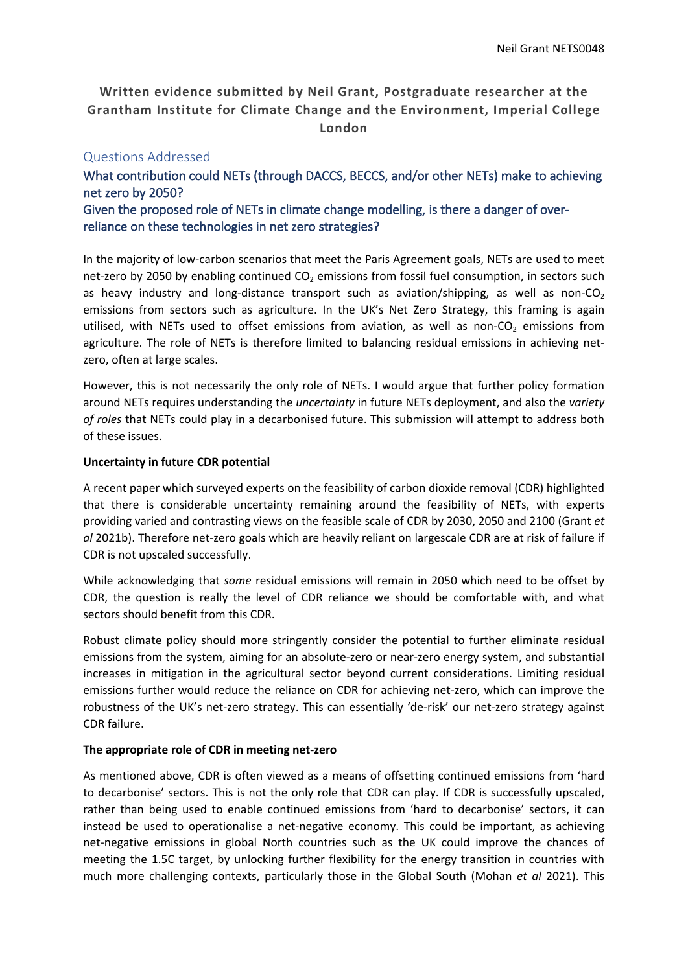# **Written evidence submitted by Neil Grant, Postgraduate researcher at the Grantham Institute for Climate Change and the Environment, Imperial College London**

## Questions Addressed

**What contribution could NETs (through DACCS, BECCS, and/or other NETs) make to achieving net zero by 2050? Given the proposed role of NETs in climate change modelling, is there a danger of overreliance on these technologies in net zero strategies?**

In the majority of low-carbon scenarios that meet the Paris Agreement goals, NETs are used to meet net-zero by 2050 by enabling continued  $CO<sub>2</sub>$  emissions from fossil fuel consumption, in sectors such as heavy industry and long-distance transport such as aviation/shipping, as well as non- $CO<sub>2</sub>$ emissions from sectors such as agriculture. In the UK's Net Zero Strategy, this framing is again utilised, with NETs used to offset emissions from aviation, as well as non-CO<sub>2</sub> emissions from agriculture. The role of NETs is therefore limited to balancing residual emissions in achieving netzero, often at large scales.

However, this is not necessarily the only role of NETs. I would argue that further policy formation around NETs requires understanding the *uncertainty* in future NETs deployment, and also the *variety of roles* that NETs could play in a decarbonised future. This submission will attempt to address both of these issues.

#### **Uncertainty in future CDR potential**

A recent paper which surveyed experts on the feasibility of carbon dioxide removal (CDR) highlighted that there is considerable uncertainty remaining around the feasibility of NETs, with experts providing varied and contrasting views on the feasible scale of CDR by 2030, 2050 and 2100 (Grant *et al* 2021b). Therefore net-zero goals which are heavily reliant on largescale CDR are at risk of failure if CDR is not upscaled successfully.

While acknowledging that *some* residual emissions will remain in 2050 which need to be offset by CDR, the question is really the level of CDR reliance we should be comfortable with, and what sectors should benefit from this CDR.

Robust climate policy should more stringently consider the potential to further eliminate residual emissions from the system, aiming for an absolute-zero or near-zero energy system, and substantial increases in mitigation in the agricultural sector beyond current considerations. Limiting residual emissions further would reduce the reliance on CDR for achieving net-zero, which can improve the robustness of the UK's net-zero strategy. This can essentially 'de-risk' our net-zero strategy against CDR failure.

#### **The appropriate role of CDR in meeting net-zero**

As mentioned above, CDR is often viewed as a means of offsetting continued emissions from 'hard to decarbonise' sectors. This is not the only role that CDR can play. If CDR is successfully upscaled, rather than being used to enable continued emissions from 'hard to decarbonise' sectors, it can instead be used to operationalise a net-negative economy. This could be important, as achieving net-negative emissions in global North countries such as the UK could improve the chances of meeting the 1.5C target, by unlocking further flexibility for the energy transition in countries with much more challenging contexts, particularly those in the Global South (Mohan *et al* 2021). This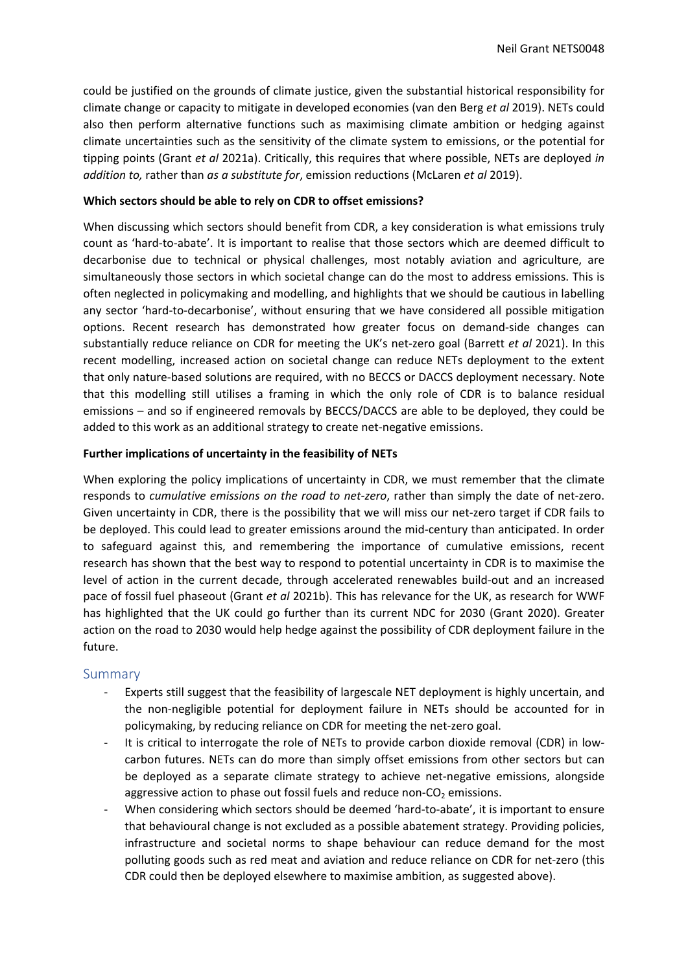could be justified on the grounds of climate justice, given the substantial historical responsibility for climate change or capacity to mitigate in developed economies (van den Berg *et al* 2019). NETs could also then perform alternative functions such as maximising climate ambition or hedging against climate uncertainties such as the sensitivity of the climate system to emissions, or the potential for tipping points (Grant *et al* 2021a). Critically, this requires that where possible, NETs are deployed *in addition to,* rather than *as a substitute for*, emission reductions (McLaren *et al* 2019).

#### **Which sectors should be able to rely on CDR to offset emissions?**

When discussing which sectors should benefit from CDR, a key consideration is what emissions truly count as 'hard-to-abate'. It is important to realise that those sectors which are deemed difficult to decarbonise due to technical or physical challenges, most notably aviation and agriculture, are simultaneously those sectors in which societal change can do the most to address emissions. This is often neglected in policymaking and modelling, and highlights that we should be cautious in labelling any sector 'hard-to-decarbonise', without ensuring that we have considered all possible mitigation options. Recent research has demonstrated how greater focus on demand-side changes can substantially reduce reliance on CDR for meeting the UK's net-zero goal (Barrett *et al* 2021). In this recent modelling, increased action on societal change can reduce NETs deployment to the extent that only nature-based solutions are required, with no BECCS or DACCS deployment necessary. Note that this modelling still utilises a framing in which the only role of CDR is to balance residual emissions – and so if engineered removals by BECCS/DACCS are able to be deployed, they could be added to this work as an additional strategy to create net-negative emissions.

### **Further implications of uncertainty in the feasibility of NETs**

When exploring the policy implications of uncertainty in CDR, we must remember that the climate responds to *cumulative emissions on the road to net-zero*, rather than simply the date of net-zero. Given uncertainty in CDR, there is the possibility that we will miss our net-zero target if CDR fails to be deployed. This could lead to greater emissions around the mid-century than anticipated. In order to safeguard against this, and remembering the importance of cumulative emissions, recent research has shown that the best way to respond to potential uncertainty in CDR is to maximise the level of action in the current decade, through accelerated renewables build-out and an increased pace of fossil fuel phaseout (Grant *et al* 2021b). This has relevance for the UK, as research for WWF has highlighted that the UK could go further than its current NDC for 2030 (Grant 2020). Greater action on the road to 2030 would help hedge against the possibility of CDR deployment failure in the future.

#### Summary

- Experts still suggest that the feasibility of largescale NET deployment is highly uncertain, and the non-negligible potential for deployment failure in NETs should be accounted for in policymaking, by reducing reliance on CDR for meeting the net-zero goal.
- It is critical to interrogate the role of NETs to provide carbon dioxide removal (CDR) in lowcarbon futures. NETs can do more than simply offset emissions from other sectors but can be deployed as a separate climate strategy to achieve net-negative emissions, alongside aggressive action to phase out fossil fuels and reduce non- $CO<sub>2</sub>$  emissions.
- When considering which sectors should be deemed 'hard-to-abate', it is important to ensure that behavioural change is not excluded as a possible abatement strategy. Providing policies, infrastructure and societal norms to shape behaviour can reduce demand for the most polluting goods such as red meat and aviation and reduce reliance on CDR for net-zero (this CDR could then be deployed elsewhere to maximise ambition, as suggested above).